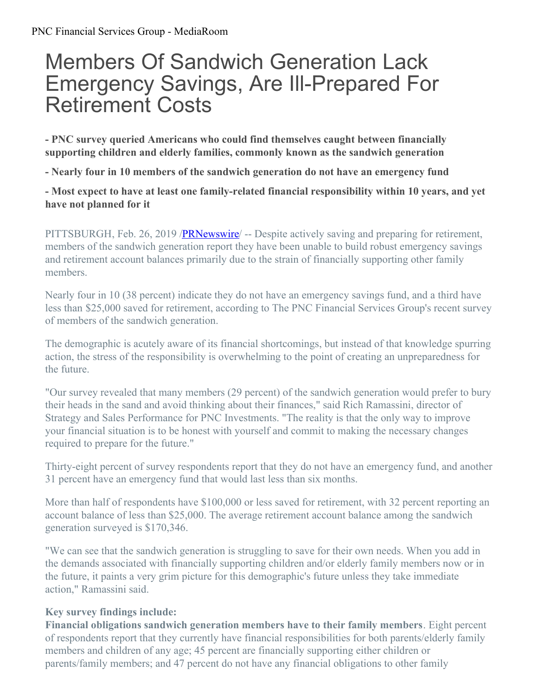## Members Of Sandwich Generation Lack Emergency Savings, Are Ill-Prepared For Retirement Costs

**- PNC survey queried Americans who could find themselves caught between financially supporting children and elderly families, commonly known as the sandwich generation**

**- Nearly four in 10 members of the sandwich generation do not have an emergency fund**

**- Most expect to have at least one family-related financial responsibility within 10 years, and yet have not planned for it**

PITTSBURGH, Feb. 26, 2019 /**PRNewswire** – Despite actively saving and preparing for retirement, members of the sandwich generation report they have been unable to build robust emergency savings and retirement account balances primarily due to the strain of financially supporting other family members.

Nearly four in 10 (38 percent) indicate they do not have an emergency savings fund, and a third have less than \$25,000 saved for retirement, according to The PNC Financial Services Group's recent survey of members of the sandwich generation.

The demographic is acutely aware of its financial shortcomings, but instead of that knowledge spurring action, the stress of the responsibility is overwhelming to the point of creating an unpreparedness for the future.

"Our survey revealed that many members (29 percent) of the sandwich generation would prefer to bury their heads in the sand and avoid thinking about their finances," said Rich Ramassini, director of Strategy and Sales Performance for PNC Investments. "The reality is that the only way to improve your financial situation is to be honest with yourself and commit to making the necessary changes required to prepare for the future."

Thirty-eight percent of survey respondents report that they do not have an emergency fund, and another 31 percent have an emergency fund that would last less than six months.

More than half of respondents have \$100,000 or less saved for retirement, with 32 percent reporting an account balance of less than \$25,000. The average retirement account balance among the sandwich generation surveyed is \$170,346.

"We can see that the sandwich generation is struggling to save for their own needs. When you add in the demands associated with financially supporting children and/or elderly family members now or in the future, it paints a very grim picture for this demographic's future unless they take immediate action," Ramassini said.

## **Key survey findings include:**

**Financial obligations sandwich generation members have to their family members**. Eight percent of respondents report that they currently have financial responsibilities for both parents/elderly family members and children of any age; 45 percent are financially supporting either children or parents/family members; and 47 percent do not have any financial obligations to other family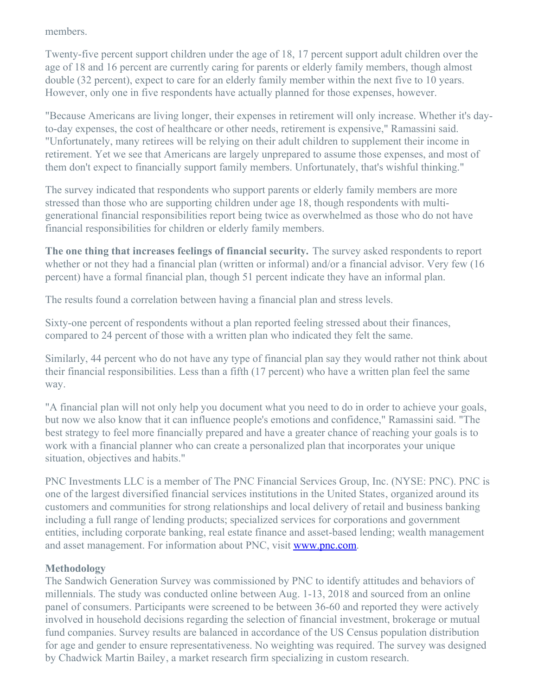members.

Twenty-five percent support children under the age of 18, 17 percent support adult children over the age of 18 and 16 percent are currently caring for parents or elderly family members, though almost double (32 percent), expect to care for an elderly family member within the next five to 10 years. However, only one in five respondents have actually planned for those expenses, however.

"Because Americans are living longer, their expenses in retirement will only increase. Whether it's dayto-day expenses, the cost of healthcare or other needs, retirement is expensive," Ramassini said. "Unfortunately, many retirees will be relying on their adult children to supplement their income in retirement. Yet we see that Americans are largely unprepared to assume those expenses, and most of them don't expect to financially support family members. Unfortunately, that's wishful thinking."

The survey indicated that respondents who support parents or elderly family members are more stressed than those who are supporting children under age 18, though respondents with multigenerational financial responsibilities report being twice as overwhelmed as those who do not have financial responsibilities for children or elderly family members.

**The one thing that increases feelings of financial security.** The survey asked respondents to report whether or not they had a financial plan (written or informal) and/or a financial advisor. Very few (16 percent) have a formal financial plan, though 51 percent indicate they have an informal plan.

The results found a correlation between having a financial plan and stress levels.

Sixty-one percent of respondents without a plan reported feeling stressed about their finances, compared to 24 percent of those with a written plan who indicated they felt the same.

Similarly, 44 percent who do not have any type of financial plan say they would rather not think about their financial responsibilities. Less than a fifth (17 percent) who have a written plan feel the same way.

"A financial plan will not only help you document what you need to do in order to achieve your goals, but now we also know that it can influence people's emotions and confidence," Ramassini said. "The best strategy to feel more financially prepared and have a greater chance of reaching your goals is to work with a financial planner who can create a personalized plan that incorporates your unique situation, objectives and habits."

PNC Investments LLC is a member of The PNC Financial Services Group, Inc. (NYSE: PNC). PNC is one of the largest diversified financial services institutions in the United States, organized around its customers and communities for strong relationships and local delivery of retail and business banking including a full range of lending products; specialized services for corporations and government entities, including corporate banking, real estate finance and asset-based lending; wealth management and asset management. For information about PNC, visit **[www.pnc.com](https://c212.net/c/link/?t=0&l=en&o=2386227-1&h=50907597&u=http%3A%2F%2Fwww.pnc.com%2F&a=www.pnc.com)**.

## **Methodology**

The Sandwich Generation Survey was commissioned by PNC to identify attitudes and behaviors of millennials. The study was conducted online between Aug. 1-13, 2018 and sourced from an online panel of consumers. Participants were screened to be between 36-60 and reported they were actively involved in household decisions regarding the selection of financial investment, brokerage or mutual fund companies. Survey results are balanced in accordance of the US Census population distribution for age and gender to ensure representativeness. No weighting was required. The survey was designed by Chadwick Martin Bailey, a market research firm specializing in custom research.